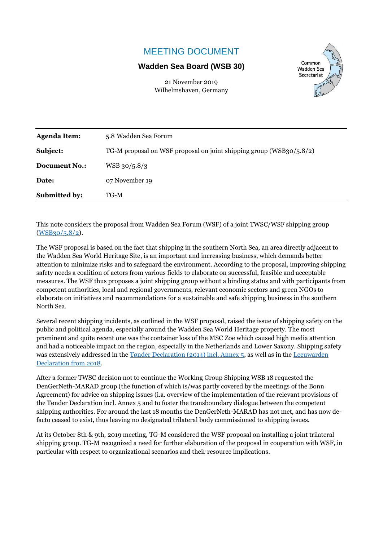## MEETING DOCUMENT

## **Wadden Sea Board (WSB 30)**



21 November 2019 Wilhelmshaven, Germany

| <b>Agenda Item:</b>  | 5.8 Wadden Sea Forum                                                    |
|----------------------|-------------------------------------------------------------------------|
| Subject:             | TG-M proposal on WSF proposal on joint shipping group (WSB $30/5.8/2$ ) |
| <b>Document No.:</b> | $WSB$ 30/5.8/3                                                          |
| Date:                | 07 November 19                                                          |
| <b>Submitted by:</b> | TG-M                                                                    |

This note considers the proposal from Wadden Sea Forum (WSF) of a joint TWSC/WSF shipping group [\(WSB30/5.8/2\)](https://www.waddensea-worldheritage.org/sites/default/files/WSB30%205.8-2%20ws%20shipping%20group.pdf).

The WSF proposal is based on the fact that shipping in the southern North Sea, an area directly adjacent to the Wadden Sea World Heritage Site, is an important and increasing business, which demands better attention to minimize risks and to safeguard the environment. According to the proposal, improving shipping safety needs a coalition of actors from various fields to elaborate on successful, feasible and acceptable measures. The WSF thus proposes a joint shipping group without a binding status and with participants from competent authorities, local and regional governments, relevant economic sectors and green NGOs to elaborate on initiatives and recommendations for a sustainable and safe shipping business in the southern North Sea.

Several recent shipping incidents, as outlined in the WSF proposal, raised the issue of shipping safety on the public and political agenda, especially around the Wadden Sea World Heritage property. The most prominent and quite recent one was the container loss of the MSC Zoe which caused high media attention and had a noticeable impact on the region, especially in the Netherlands and Lower Saxony. Shipping safety was extensively addressed in the [Tønder Declaration \(2014\) incl. Annex 5,](https://www.waddensea-worldheritage.org/sites/default/files/2014_toender%20declaration.pdf) as well as in the Leeuwarden [Declaration from 2018.](https://www.waddensea-worldheritage.org/sites/default/files/2018_leeuwarden_declaration.pdf)

After a former TWSC decision not to continue the Working Group Shipping WSB 18 requested the DenGerNeth-MARAD group (the function of which is/was partly covered by the meetings of the Bonn Agreement) for advice on shipping issues (i.a. overview of the implementation of the relevant provisions of the Tønder Declaration incl. Annex 5 and to foster the transboundary dialogue between the competent shipping authorities. For around the last 18 months the DenGerNeth-MARAD has not met, and has now defacto ceased to exist, thus leaving no designated trilateral body commissioned to shipping issues.

At its October 8th & 9th, 2019 meeting, TG-M considered the WSF proposal on installing a joint trilateral shipping group. TG-M recognized a need for further elaboration of the proposal in cooperation with WSF, in particular with respect to organizational scenarios and their resource implications.